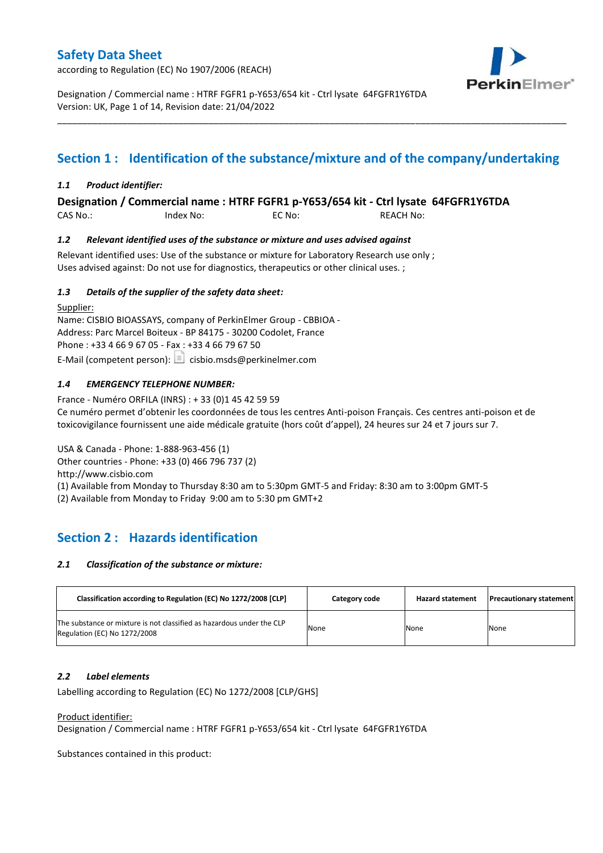according to Regulation (EC) No 1907/2006 (REACH)



Designation / Commercial name : HTRF FGFR1 p-Y653/654 kit - Ctrl lysate 64FGFR1Y6TDA Version: UK, Page 1 of 14, Revision date: 21/04/2022

# **Section 1 : Identification of the substance/mixture and of the company/undertaking**

\_\_\_\_\_\_\_\_\_\_\_\_\_\_\_\_\_\_\_\_\_\_\_\_\_\_\_\_\_\_\_\_\_\_\_\_\_\_\_\_\_\_\_\_\_\_\_\_\_\_\_\_\_\_\_\_\_\_\_\_\_\_\_\_\_\_\_\_\_\_\_\_\_\_\_\_\_\_\_\_\_\_\_\_\_\_\_\_\_\_\_\_\_\_\_\_\_\_\_\_\_

### *1.1 Product identifier:*

**Designation / Commercial name : HTRF FGFR1 p-Y653/654 kit - Ctrl lysate 64FGFR1Y6TDA** 

CAS No.: Index No: EC No: REACH No:

### *1.2 Relevant identified uses of the substance or mixture and uses advised against*

Relevant identified uses: Use of the substance or mixture for Laboratory Research use only ; Uses advised against: Do not use for diagnostics, therapeutics or other clinical uses. ;

### *1.3 Details of the supplier of the safety data sheet:*

Supplier: Name: CISBIO BIOASSAYS, company of PerkinElmer Group - CBBIOA - Address: Parc Marcel Boiteux - BP 84175 - 30200 Codolet, France Phone : +33 4 66 9 67 05 - Fax : +33 4 66 79 67 50 E-Mail (competent person):  $\boxed{\equiv}$  cisbio.msds@perkinelmer.com

### *1.4 EMERGENCY TELEPHONE NUMBER:*

France - Numéro ORFILA (INRS) : + 33 (0)1 45 42 59 59 Ce numéro permet d'obtenir les coordonnées de tous les centres Anti-poison Français. Ces centres anti-poison et de toxicovigilance fournissent une aide médicale gratuite (hors coût d'appel), 24 heures sur 24 et 7 jours sur 7.

USA & Canada - Phone: 1-888-963-456 (1)

Other countries - Phone: +33 (0) 466 796 737 (2)

http://www.cisbio.com

(1) Available from Monday to Thursday 8:30 am to 5:30pm GMT-5 and Friday: 8:30 am to 3:00pm GMT-5

(2) Available from Monday to Friday 9:00 am to 5:30 pm GMT+2

## **Section 2 : Hazards identification**

#### *2.1 Classification of the substance or mixture:*

| Classification according to Regulation (EC) No 1272/2008 [CLP]                                        | Category code | <b>Hazard statement</b> | <b>Precautionary statement</b> |
|-------------------------------------------------------------------------------------------------------|---------------|-------------------------|--------------------------------|
| The substance or mixture is not classified as hazardous under the CLP<br>Regulation (EC) No 1272/2008 | None          | None                    | None                           |

#### *2.2 Label elements*

Labelling according to Regulation (EC) No 1272/2008 [CLP/GHS]

#### Product identifier:

Designation / Commercial name : HTRF FGFR1 p-Y653/654 kit - Ctrl lysate 64FGFR1Y6TDA

Substances contained in this product: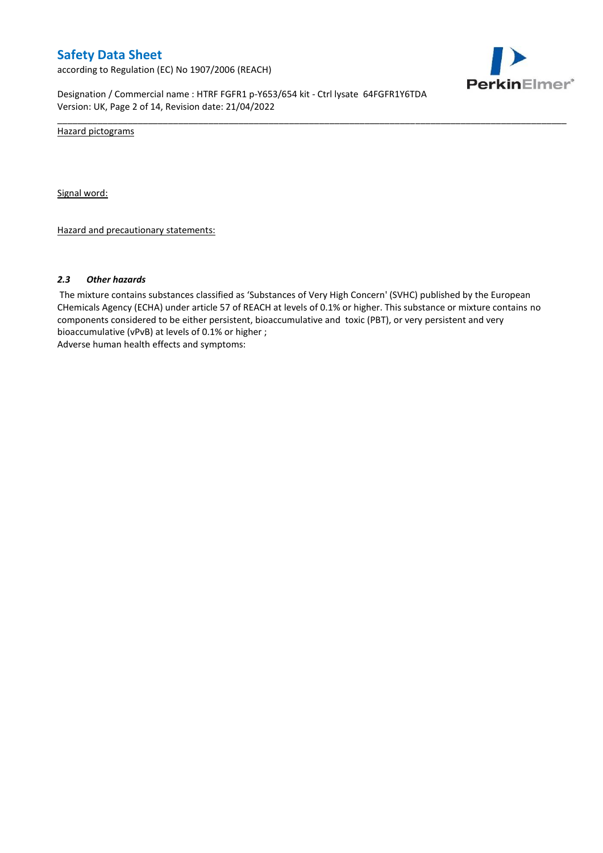according to Regulation (EC) No 1907/2006 (REACH)



Designation / Commercial name : HTRF FGFR1 p-Y653/654 kit - Ctrl lysate 64FGFR1Y6TDA Version: UK, Page 2 of 14, Revision date: 21/04/2022

Hazard pictograms

Signal word:

Hazard and precautionary statements:

#### *2.3 Other hazards*

The mixture contains substances classified as 'Substances of Very High Concern' (SVHC) published by the European CHemicals Agency (ECHA) under article 57 of REACH at levels of 0.1% or higher. This substance or mixture contains no components considered to be either persistent, bioaccumulative and toxic (PBT), or very persistent and very bioaccumulative (vPvB) at levels of 0.1% or higher ; Adverse human health effects and symptoms:

\_\_\_\_\_\_\_\_\_\_\_\_\_\_\_\_\_\_\_\_\_\_\_\_\_\_\_\_\_\_\_\_\_\_\_\_\_\_\_\_\_\_\_\_\_\_\_\_\_\_\_\_\_\_\_\_\_\_\_\_\_\_\_\_\_\_\_\_\_\_\_\_\_\_\_\_\_\_\_\_\_\_\_\_\_\_\_\_\_\_\_\_\_\_\_\_\_\_\_\_\_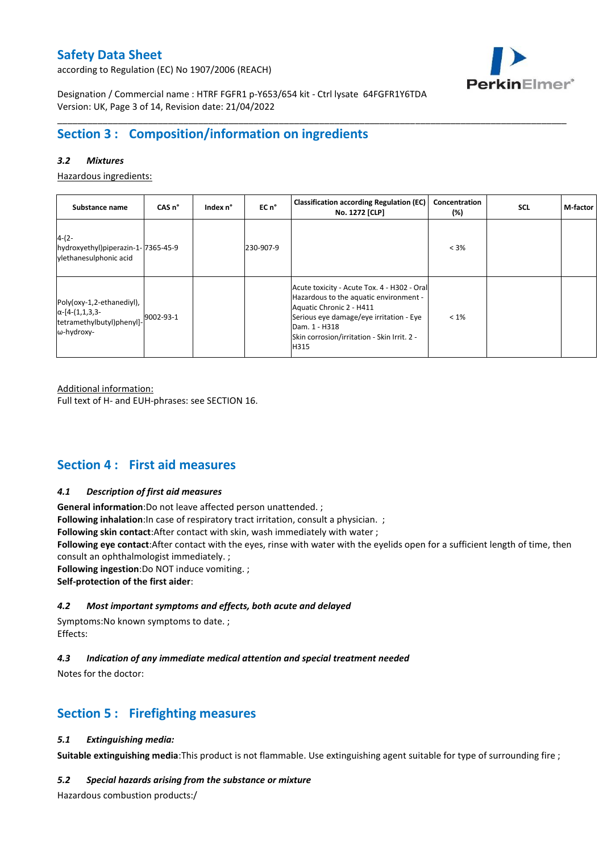according to Regulation (EC) No 1907/2006 (REACH)



Designation / Commercial name : HTRF FGFR1 p-Y653/654 kit - Ctrl lysate 64FGFR1Y6TDA Version: UK, Page 3 of 14, Revision date: 21/04/2022

## **Section 3 : Composition/information on ingredients**

### *3.2 Mixtures*

Hazardous ingredients:

| Substance name                                                                                 | CAS <sub>n</sub> ° | Index n° | EC n°     | <b>Classification according Regulation (EC)</b><br>No. 1272 [CLP]                                                                                                                                                                    | Concentration<br>(%) | <b>SCL</b> | M-factor |
|------------------------------------------------------------------------------------------------|--------------------|----------|-----------|--------------------------------------------------------------------------------------------------------------------------------------------------------------------------------------------------------------------------------------|----------------------|------------|----------|
| $4-(2-$<br>hydroxyethyl)piperazin-1-7365-45-9<br>vlethanesulphonic acid                        |                    |          | 230-907-9 |                                                                                                                                                                                                                                      | $< 3\%$              |            |          |
| Poly(oxy-1,2-ethanediyl),<br>$\alpha$ -[4-(1,1,3,3-<br>tetramethylbutyl)phenyl]-<br>ω-hydroxy- | 9002-93-1          |          |           | Acute toxicity - Acute Tox. 4 - H302 - Oral<br>Hazardous to the aquatic environment -<br>Aquatic Chronic 2 - H411<br>Serious eye damage/eye irritation - Eye<br>Dam. 1 - H318<br>Skin corrosion/irritation - Skin Irrit. 2 -<br>H315 | $< 1\%$              |            |          |

\_\_\_\_\_\_\_\_\_\_\_\_\_\_\_\_\_\_\_\_\_\_\_\_\_\_\_\_\_\_\_\_\_\_\_\_\_\_\_\_\_\_\_\_\_\_\_\_\_\_\_\_\_\_\_\_\_\_\_\_\_\_\_\_\_\_\_\_\_\_\_\_\_\_\_\_\_\_\_\_\_\_\_\_\_\_\_\_\_\_\_\_\_\_\_\_\_\_\_\_\_

Additional information:

Full text of H- and EUH-phrases: see SECTION 16.

## **Section 4 : First aid measures**

#### *4.1 Description of first aid measures*

**General information**:Do not leave affected person unattended. ;

**Following inhalation**: In case of respiratory tract irritation, consult a physician. ;

**Following skin contact**:After contact with skin, wash immediately with water ;

**Following eye contact**:After contact with the eyes, rinse with water with the eyelids open for a sufficient length of time, then consult an ophthalmologist immediately. ;

**Following ingestion**:Do NOT induce vomiting. ;

**Self-protection of the first aider**:

### *4.2 Most important symptoms and effects, both acute and delayed*

Symptoms:No known symptoms to date. ; Effects:

### *4.3 Indication of any immediate medical attention and special treatment needed*

Notes for the doctor:

## **Section 5 : Firefighting measures**

### *5.1 Extinguishing media:*

**Suitable extinguishing media**:This product is not flammable. Use extinguishing agent suitable for type of surrounding fire ;

#### *5.2 Special hazards arising from the substance or mixture*

Hazardous combustion products:/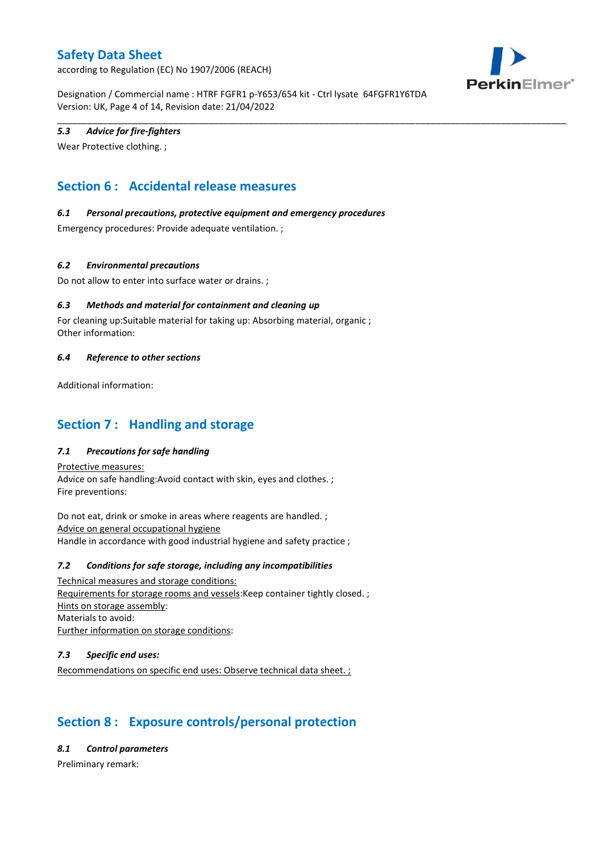according to Regulation (EC) No 1907/2006 (REACH)



Designation / Commercial name : HTRF FGFR1 p-Y653/654 kit - Ctrl lysate 64FGFR1Y6TDA Version: UK, Page 4 of 14, Revision date: 21/04/2022

\_\_\_\_\_\_\_\_\_\_\_\_\_\_\_\_\_\_\_\_\_\_\_\_\_\_\_\_\_\_\_\_\_\_\_\_\_\_\_\_\_\_\_\_\_\_\_\_\_\_\_\_\_\_\_\_\_\_\_\_\_\_\_\_\_\_\_\_\_\_\_\_\_\_\_\_\_\_\_\_\_\_\_\_\_\_\_\_\_\_\_\_\_\_\_\_\_\_\_\_\_

### *5.3 Advice for fire-fighters*

Wear Protective clothing. ;

# **Section 6 : Accidental release measures**

### *6.1 Personal precautions, protective equipment and emergency procedures*

Emergency procedures: Provide adequate ventilation. ;

### *6.2 Environmental precautions*

Do not allow to enter into surface water or drains. ;

### *6.3 Methods and material for containment and cleaning up*

For cleaning up:Suitable material for taking up: Absorbing material, organic ; Other information:

#### *6.4 Reference to other sections*

Additional information:

## **Section 7 : Handling and storage**

### *7.1 Precautions for safe handling*

Protective measures: Advice on safe handling:Avoid contact with skin, eyes and clothes. ; Fire preventions:

Do not eat, drink or smoke in areas where reagents are handled. ; Advice on general occupational hygiene Handle in accordance with good industrial hygiene and safety practice ;

#### *7.2 Conditions for safe storage, including any incompatibilities*

Technical measures and storage conditions: Requirements for storage rooms and vessels:Keep container tightly closed. ; Hints on storage assembly: Materials to avoid: Further information on storage conditions:

#### *7.3 Specific end uses:*

Recommendations on specific end uses: Observe technical data sheet. ;

# **Section 8 : Exposure controls/personal protection**

*8.1 Control parameters*

Preliminary remark: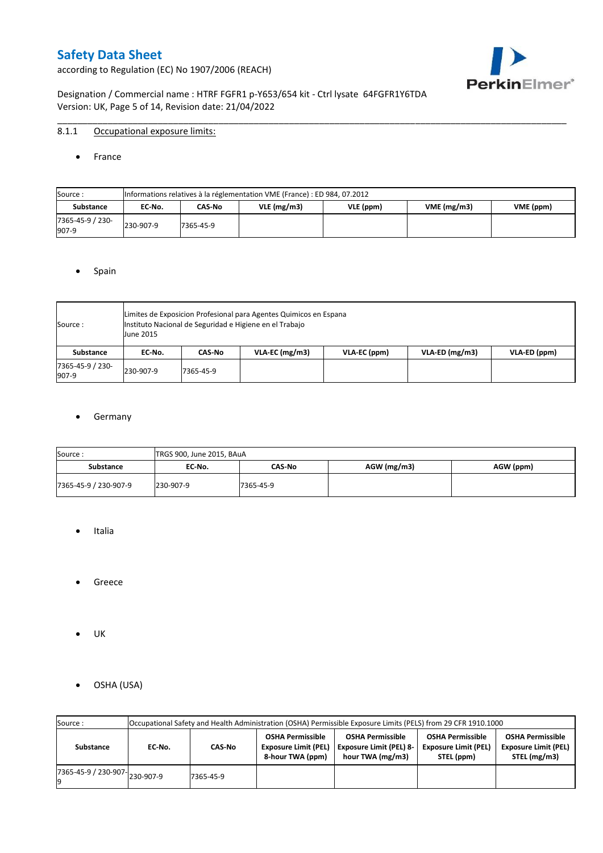according to Regulation (EC) No 1907/2006 (REACH)



Designation / Commercial name : HTRF FGFR1 p-Y653/654 kit - Ctrl lysate 64FGFR1Y6TDA Version: UK, Page 5 of 14, Revision date: 21/04/2022

### 8.1.1 Occupational exposure limits:

• France

| Source:                   |           | Informations relatives à la réglementation VME (France) : ED 984, 07.2012 |               |           |            |           |  |  |  |  |  |  |  |
|---------------------------|-----------|---------------------------------------------------------------------------|---------------|-----------|------------|-----------|--|--|--|--|--|--|--|
| <b>Substance</b>          | EC No.    | CAS-No                                                                    | $VLE$ (mg/m3) | VLE (ppm) | VME(mg/m3) | VME (ppm) |  |  |  |  |  |  |  |
| 7365-45-9 / 230-<br>907-9 | 230-907-9 | 7365-45-9                                                                 |               |           |            |           |  |  |  |  |  |  |  |

\_\_\_\_\_\_\_\_\_\_\_\_\_\_\_\_\_\_\_\_\_\_\_\_\_\_\_\_\_\_\_\_\_\_\_\_\_\_\_\_\_\_\_\_\_\_\_\_\_\_\_\_\_\_\_\_\_\_\_\_\_\_\_\_\_\_\_\_\_\_\_\_\_\_\_\_\_\_\_\_\_\_\_\_\_\_\_\_\_\_\_\_\_\_\_\_\_\_\_\_\_

#### • Spain

| Source:                   | <b>June 2015</b> | Limites de Exposicion Profesional para Agentes Quimicos en Espana<br>Instituto Nacional de Seguridad e Higiene en el Trabajo |                  |              |                  |              |  |  |  |  |  |  |
|---------------------------|------------------|------------------------------------------------------------------------------------------------------------------------------|------------------|--------------|------------------|--------------|--|--|--|--|--|--|
| Substance                 | EC No.           | CAS No                                                                                                                       | $VLA-EC$ (mg/m3) | VLA-EC (ppm) | $VLA-ED$ (mg/m3) | VLA-ED (ppm) |  |  |  |  |  |  |
| 7365-45-9 / 230-<br>907-9 | 230-907-9        | 7365-45-9                                                                                                                    |                  |              |                  |              |  |  |  |  |  |  |

### **•** Germany

| Source:               | TRGS 900, June 2015, BAuA |           |               |           |
|-----------------------|---------------------------|-----------|---------------|-----------|
| <b>Substance</b>      | EC No.                    | CAS No    | $AGW$ (mg/m3) | AGW (ppm) |
| 7365-45-9 / 230-907-9 | 230-907-9                 | 7365-45-9 |               |           |

- Italia
- Greece
- UK
- OSHA (USA)

| Source:              |           |           |                                                                            | Occupational Safety and Health Administration (OSHA) Permissible Exposure Limits (PELS) from 29 CFR 1910.1000 |                                                                      |                                                                        |
|----------------------|-----------|-----------|----------------------------------------------------------------------------|---------------------------------------------------------------------------------------------------------------|----------------------------------------------------------------------|------------------------------------------------------------------------|
| Substance            | EC-No.    | CAS-No    | <b>OSHA Permissible</b><br><b>Exposure Limit (PEL)</b><br>8-hour TWA (ppm) | <b>OSHA Permissible</b><br><b>Exposure Limit (PEL) 8-</b><br>hour TWA (mg/m3)                                 | <b>OSHA Permissible</b><br><b>Exposure Limit (PEL)</b><br>STEL (ppm) | <b>OSHA Permissible</b><br><b>Exposure Limit (PEL)</b><br>STEL (mg/m3) |
| 7365-45-9 / 230-907- | 230-907-9 | 7365-45-9 |                                                                            |                                                                                                               |                                                                      |                                                                        |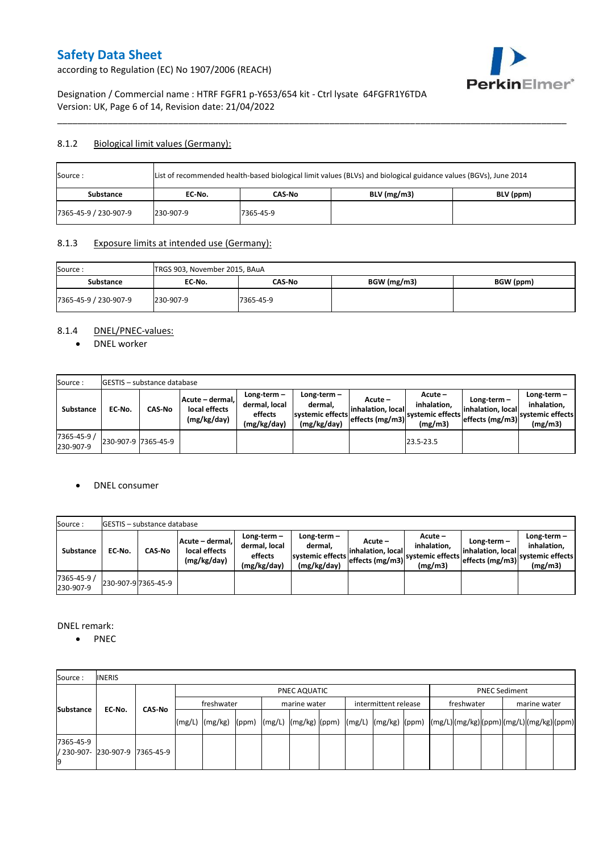

according to Regulation (EC) No 1907/2006 (REACH)

Designation / Commercial name : HTRF FGFR1 p-Y653/654 kit - Ctrl lysate 64FGFR1Y6TDA Version: UK, Page 6 of 14, Revision date: 21/04/2022

### 8.1.2 Biological limit values (Germany):

| List of recommended health-based biological limit values (BLVs) and biological guidance values (BGVs), June 2014<br>Source: |           |           |               |           |  |  |  |  |
|-----------------------------------------------------------------------------------------------------------------------------|-----------|-----------|---------------|-----------|--|--|--|--|
| Substance                                                                                                                   | EC No.    | CAS-No    | $BLV$ (mg/m3) | BLV (ppm) |  |  |  |  |
| 7365-45-9 / 230-907-9                                                                                                       | 230-907-9 | 7365-45-9 |               |           |  |  |  |  |

\_\_\_\_\_\_\_\_\_\_\_\_\_\_\_\_\_\_\_\_\_\_\_\_\_\_\_\_\_\_\_\_\_\_\_\_\_\_\_\_\_\_\_\_\_\_\_\_\_\_\_\_\_\_\_\_\_\_\_\_\_\_\_\_\_\_\_\_\_\_\_\_\_\_\_\_\_\_\_\_\_\_\_\_\_\_\_\_\_\_\_\_\_\_\_\_\_\_\_\_\_

### 8.1.3 Exposure limits at intended use (Germany):

| Source:               | TRGS 903, November 2015, BAuA |           |             |           |
|-----------------------|-------------------------------|-----------|-------------|-----------|
| <b>Substance</b>      | EC No.                        | CAS-No    | BGW (mg/m3) | BGW (ppm) |
| 7365-45-9 / 230-907-9 | 230-907-9                     | 7365-45-9 |             |           |

## 8.1.4 DNEL/PNEC-values:

• DNEL worker

| Source:                  |                     | <b>IGESTIS</b> - substance database |                                                 |                                                          |                                                          |                                                  |                                                       |                                                        |                                                             |
|--------------------------|---------------------|-------------------------------------|-------------------------------------------------|----------------------------------------------------------|----------------------------------------------------------|--------------------------------------------------|-------------------------------------------------------|--------------------------------------------------------|-------------------------------------------------------------|
| Substance                | EC No.              | <b>CAS-No</b>                       | Acute - dermal,<br>local effects<br>(mg/kg/day) | Long-term $-$<br>dermal, local<br>effects<br>(mg/kg/day) | Long-term-<br>dermal.<br>systemic effects<br>(mg/kg/day) | Acute –<br>linhalation. local<br>effects (mg/m3) | Acute -<br>inhalation.<br>systemic effects<br>(mg/m3) | Long-term $-$<br>linhalation. local<br>effects (mg/m3) | Long-term $-$<br>inhalation.<br>systemic effects<br>(mg/m3) |
| 7365-45-9 /<br>230-907-9 | 230-907-9 7365-45-9 |                                     |                                                 |                                                          |                                                          |                                                  | 23.5-23.5                                             |                                                        |                                                             |

#### DNEL consumer

| Source:                  |        | <b>IGESTIS – substance database</b> |                                                 |                                                          |                                                          |                                                  |                                                       |                                                        |                                                             |
|--------------------------|--------|-------------------------------------|-------------------------------------------------|----------------------------------------------------------|----------------------------------------------------------|--------------------------------------------------|-------------------------------------------------------|--------------------------------------------------------|-------------------------------------------------------------|
| Substance                | EC No. | CAS No                              | Acute - dermal.<br>local effects<br>(mg/kg/day) | Long-term $-$<br>dermal, local<br>effects<br>(mg/kg/day) | Long-term-<br>dermal,<br>systemic effects<br>(mg/kg/day) | Acute –<br>linhalation. local<br>effects (mg/m3) | Acute -<br>inhalation.<br>systemic effects<br>(mg/m3) | $Long-term -$<br>linhalation. local<br>effects (mg/m3) | Long-term $-$<br>inhalation.<br>svstemic effects<br>(mg/m3) |
| 7365-45-9 /<br>230-907-9 |        | 230-907-9 7365-45-9                 |                                                 |                                                          |                                                          |                                                  |                                                       |                                                        |                                                             |

DNEL remark:

• PNEC

| Source:          | <b>INERIS</b>                  |               |                                                                                                                    |  |              |  |                      |  |            |                      |              |  |
|------------------|--------------------------------|---------------|--------------------------------------------------------------------------------------------------------------------|--|--------------|--|----------------------|--|------------|----------------------|--------------|--|
|                  |                                |               |                                                                                                                    |  | PNEC AQUATIC |  |                      |  |            | <b>PNEC Sediment</b> |              |  |
| <b>Substance</b> |                                | <b>CAS No</b> | freshwater                                                                                                         |  | marine water |  | intermittent release |  | freshwater |                      | marine water |  |
|                  | EC-No.                         |               | [(mg/L)  (mg/kg)  (ppm)  (mg/L)  (mg/kg)  (ppm)  (mg/L)  (mg/kg)  (ppm)  (mg/L) (mg/kg) (ppm) (mg/L) (mg/kg) (ppm) |  |              |  |                      |  |            |                      |              |  |
| 7365-45-9        | / 230-907- 230-907-9 7365-45-9 |               |                                                                                                                    |  |              |  |                      |  |            |                      |              |  |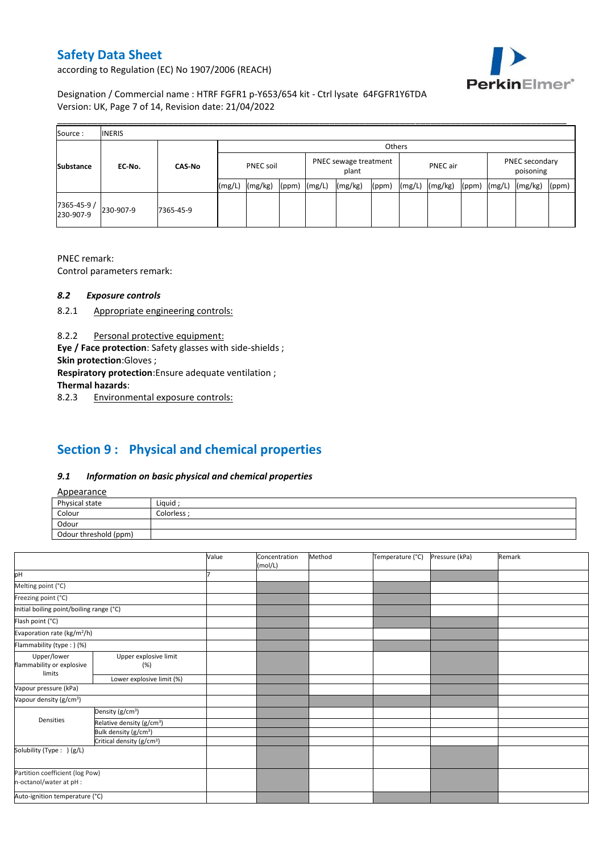

according to Regulation (EC) No 1907/2006 (REACH)

Designation / Commercial name : HTRF FGFR1 p-Y653/654 kit - Ctrl lysate 64FGFR1Y6TDA Version: UK, Page 7 of 14, Revision date: 21/04/2022

| Source:                 | <b>INERIS</b> |               |                  |         |       |                                |         |       |          |         |       |                             |         |       |
|-------------------------|---------------|---------------|------------------|---------|-------|--------------------------------|---------|-------|----------|---------|-------|-----------------------------|---------|-------|
|                         |               |               | Others           |         |       |                                |         |       |          |         |       |                             |         |       |
| <b>Substance</b>        | EC-No.        | <b>CAS-No</b> | <b>PNEC soil</b> |         |       | PNEC sewage treatment<br>plant |         |       | PNEC air |         |       | PNEC secondary<br>poisoning |         |       |
|                         |               |               | (mg/L)           | (mg/kg) | (ppm) | (mg/L)                         | (mg/kg) | (ppm) | (mg/L)   | (mg/kg) | (ppm) | (mg/L)                      | (mg/kg) | (ppm) |
| 7365-45-9/<br>230-907-9 | 230-907-9     | 7365-45-9     |                  |         |       |                                |         |       |          |         |       |                             |         |       |

PNEC remark:

Control parameters remark:

### *8.2 Exposure controls*

- 8.2.1 Appropriate engineering controls:
- 8.2.2 Personal protective equipment:

**Eye / Face protection**: Safety glasses with side-shields ;

**Skin protection**:Gloves ;

**Respiratory protection**:Ensure adequate ventilation ;

**Thermal hazards**:

8.2.3 Environmental exposure controls:

# **Section 9 : Physical and chemical properties**

### *9.1 Information on basic physical and chemical properties*

| Appearance |
|------------|
|------------|

| <b>Appearance</b>                                      |            |
|--------------------------------------------------------|------------|
| Physical state                                         | Liquid     |
| Colour<br>the control of the control of the control of | Colorless: |
| Odour                                                  |            |
| Odour threshold (ppm)                                  |            |

|                                                            |                                       | Value | Concentration<br>(mol/L) | Method | Temperature (°C) | Pressure (kPa) | Remark |
|------------------------------------------------------------|---------------------------------------|-------|--------------------------|--------|------------------|----------------|--------|
| pH                                                         |                                       |       |                          |        |                  |                |        |
| Melting point (°C)                                         |                                       |       |                          |        |                  |                |        |
| Freezing point (°C)                                        |                                       |       |                          |        |                  |                |        |
| Initial boiling point/boiling range (°C)                   |                                       |       |                          |        |                  |                |        |
| Flash point (°C)                                           |                                       |       |                          |        |                  |                |        |
| Evaporation rate (kg/m <sup>2</sup> /h)                    |                                       |       |                          |        |                  |                |        |
| Flammability (type:) (%)                                   |                                       |       |                          |        |                  |                |        |
| Upper/lower<br>flammability or explosive                   | Upper explosive limit<br>(%)          |       |                          |        |                  |                |        |
| limits                                                     | Lower explosive limit (%)             |       |                          |        |                  |                |        |
| Vapour pressure (kPa)                                      |                                       |       |                          |        |                  |                |        |
| Vapour density (g/cm <sup>3</sup> )                        |                                       |       |                          |        |                  |                |        |
|                                                            | Density (g/cm <sup>3</sup> )          |       |                          |        |                  |                |        |
| Densities                                                  | Relative density (g/cm <sup>3</sup> ) |       |                          |        |                  |                |        |
|                                                            | Bulk density (g/cm <sup>3</sup> )     |       |                          |        |                  |                |        |
|                                                            | Critical density (g/cm <sup>3</sup> ) |       |                          |        |                  |                |        |
| Solubility (Type: ) (g/L)                                  |                                       |       |                          |        |                  |                |        |
| Partition coefficient (log Pow)<br>n-octanol/water at pH : |                                       |       |                          |        |                  |                |        |
| Auto-ignition temperature (°C)                             |                                       |       |                          |        |                  |                |        |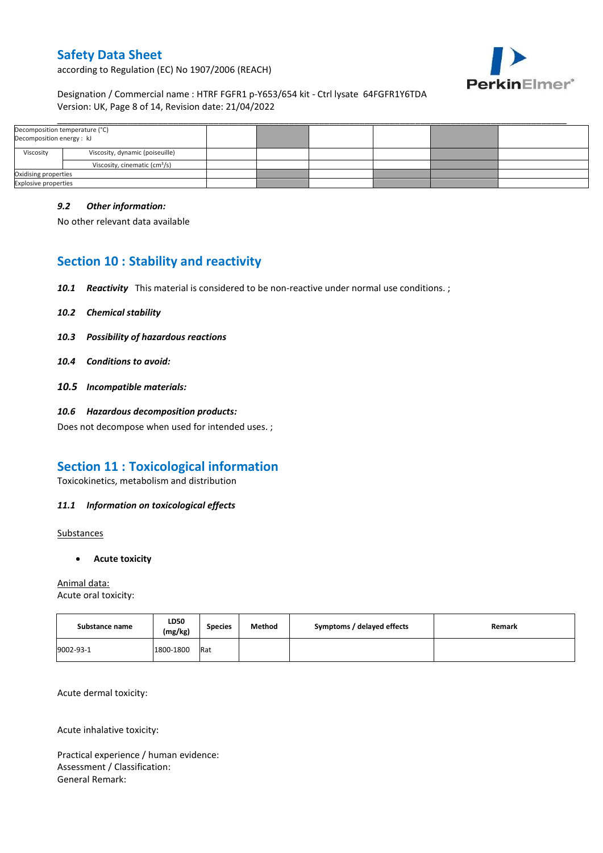

according to Regulation (EC) No 1907/2006 (REACH)

### Designation / Commercial name : HTRF FGFR1 p-Y653/654 kit - Ctrl lysate 64FGFR1Y6TDA Version: UK, Page 8 of 14, Revision date: 21/04/2022

| Decomposition temperature (°C)<br>Decomposition energy : kJ |                                           |  |  |  |
|-------------------------------------------------------------|-------------------------------------------|--|--|--|
| Viscosity                                                   | Viscosity, dynamic (poiseuille)           |  |  |  |
|                                                             | Viscosity, cinematic (cm <sup>3</sup> /s) |  |  |  |
| Oxidising properties                                        |                                           |  |  |  |
| <b>Explosive properties</b>                                 |                                           |  |  |  |

### *9.2 Other information:*

No other relevant data available

## **Section 10 : Stability and reactivity**

- *10.1 Reactivity* This material is considered to be non-reactive under normal use conditions. ;
- *10.2 Chemical stability*
- *10.3 Possibility of hazardous reactions*
- *10.4 Conditions to avoid:*
- *10.5 Incompatible materials:*
- *10.6 Hazardous decomposition products:*

Does not decompose when used for intended uses. ;

## **Section 11 : Toxicological information**

Toxicokinetics, metabolism and distribution

### *11.1 Information on toxicological effects*

**Substances** 

**Acute toxicity**

Animal data: Acute oral toxicity:

| Substance name | LD50<br>(mg/kg) | <b>Species</b> | Method | Symptoms / delayed effects | Remark |
|----------------|-----------------|----------------|--------|----------------------------|--------|
| 9002-93-1      | 1800-1800       | Rat            |        |                            |        |

Acute dermal toxicity:

Acute inhalative toxicity:

Practical experience / human evidence: Assessment / Classification: General Remark: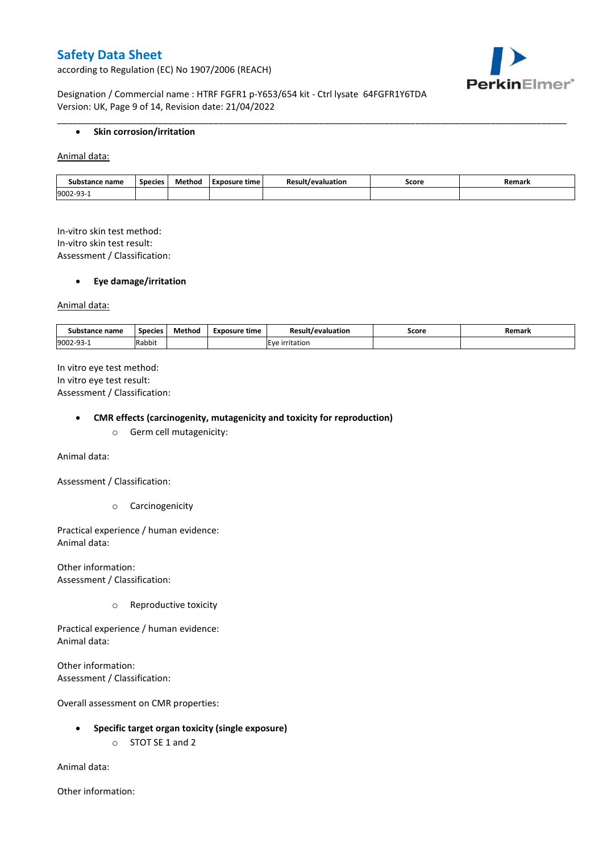according to Regulation (EC) No 1907/2006 (REACH)



Designation / Commercial name : HTRF FGFR1 p-Y653/654 kit - Ctrl lysate 64FGFR1Y6TDA Version: UK, Page 9 of 14, Revision date: 21/04/2022

#### **•** Skin corrosion/irritation

Animal data:

| Substance name | <b>Species</b> | Method | Exposure time | evaluation<br>$\sim$ | Score | Remark |
|----------------|----------------|--------|---------------|----------------------|-------|--------|
| 9002-93        |                |        |               |                      |       |        |

\_\_\_\_\_\_\_\_\_\_\_\_\_\_\_\_\_\_\_\_\_\_\_\_\_\_\_\_\_\_\_\_\_\_\_\_\_\_\_\_\_\_\_\_\_\_\_\_\_\_\_\_\_\_\_\_\_\_\_\_\_\_\_\_\_\_\_\_\_\_\_\_\_\_\_\_\_\_\_\_\_\_\_\_\_\_\_\_\_\_\_\_\_\_\_\_\_\_\_\_\_

In-vitro skin test method: In-vitro skin test result: Assessment / Classification:

#### **Eye damage/irritation**

Animal data:

| : name<br>substance | <b>Species</b> | $ -$<br>Method | <b>Exposure time</b> | Result/evaluation | Score | Remark |
|---------------------|----------------|----------------|----------------------|-------------------|-------|--------|
| 9002-93-1           | .<br>Rabbit    |                |                      | irritation        |       |        |

In vitro eye test method: In vitro eye test result: Assessment / Classification:

#### **CMR effects (carcinogenity, mutagenicity and toxicity for reproduction)**

o Germ cell mutagenicity:

Animal data:

Assessment / Classification:

o Carcinogenicity

Practical experience / human evidence: Animal data:

Other information: Assessment / Classification:

o Reproductive toxicity

Practical experience / human evidence: Animal data:

Other information: Assessment / Classification:

Overall assessment on CMR properties:

- **Specific target organ toxicity (single exposure)**
	- o STOT SE 1 and 2

Animal data:

Other information: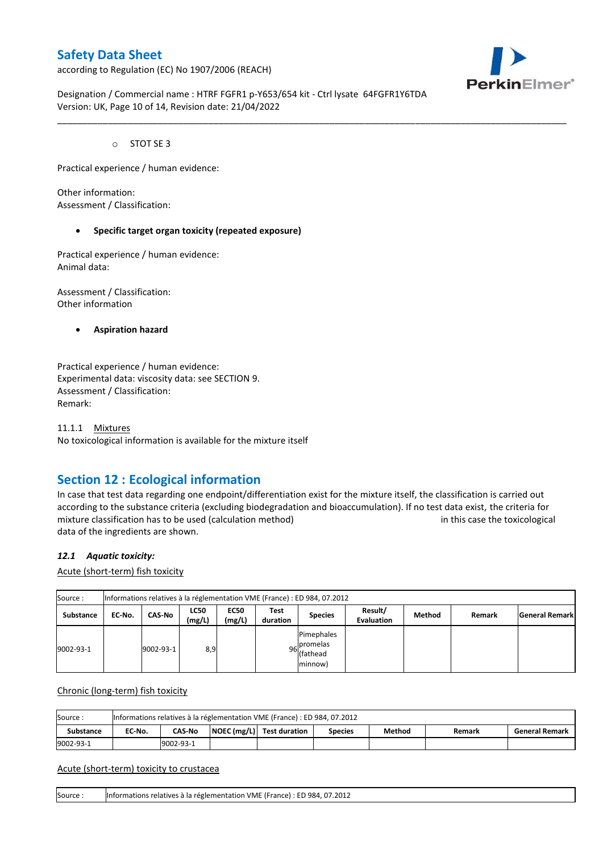according to Regulation (EC) No 1907/2006 (REACH)



Designation / Commercial name : HTRF FGFR1 p-Y653/654 kit - Ctrl lysate 64FGFR1Y6TDA Version: UK, Page 10 of 14, Revision date: 21/04/2022

\_\_\_\_\_\_\_\_\_\_\_\_\_\_\_\_\_\_\_\_\_\_\_\_\_\_\_\_\_\_\_\_\_\_\_\_\_\_\_\_\_\_\_\_\_\_\_\_\_\_\_\_\_\_\_\_\_\_\_\_\_\_\_\_\_\_\_\_\_\_\_\_\_\_\_\_\_\_\_\_\_\_\_\_\_\_\_\_\_\_\_\_\_\_\_\_\_\_\_\_\_

o STOT SE 3

Practical experience / human evidence:

Other information: Assessment / Classification:

#### **Specific target organ toxicity (repeated exposure)**

Practical experience / human evidence: Animal data:

Assessment / Classification: Other information

**Aspiration hazard**

Practical experience / human evidence: Experimental data: viscosity data: see SECTION 9. Assessment / Classification: Remark:

11.1.1 Mixtures No toxicological information is available for the mixture itself

## **Section 12 : Ecological information**

In case that test data regarding one endpoint/differentiation exist for the mixture itself, the classification is carried out according to the substance criteria (excluding biodegradation and bioaccumulation). If no test data exist, the criteria for mixture classification has to be used (calculation method) in this case the toxicological data of the ingredients are shown.

#### *12.1 Aquatic toxicity:*

Acute (short-term) fish toxicity

| Source:          |        | Informations relatives à la réglementation VME (France) : ED 984, 07.2012 |                       |                       |                  |                                                  |                              |        |        |                       |  |  |  |  |
|------------------|--------|---------------------------------------------------------------------------|-----------------------|-----------------------|------------------|--------------------------------------------------|------------------------------|--------|--------|-----------------------|--|--|--|--|
| <b>Substance</b> | EC-No. | <b>CAS-No</b>                                                             | <b>LC50</b><br>(mg/L) | <b>EC50</b><br>(mg/L) | Test<br>duration | <b>Species</b>                                   | Result/<br><b>Evaluation</b> | Method | Remark | <b>General Remark</b> |  |  |  |  |
| 9002-93-1        |        | 9002-93-1                                                                 | 8,9                   |                       |                  | Pimephales<br>96 promelas<br>(fathead<br>minnow) |                              |        |        |                       |  |  |  |  |

Chronic (long-term) fish toxicity

| Source:          | Informations relatives à la réglementation VME (France) : ED 984, 07.2012 |                                                                                                    |  |  |  |  |  |  |  |  |  |  |
|------------------|---------------------------------------------------------------------------|----------------------------------------------------------------------------------------------------|--|--|--|--|--|--|--|--|--|--|
| <b>Substance</b> | EC No.                                                                    | NOEC (mg/L) Test duration<br>Method<br><b>CAS-No</b><br><b>General Remark</b><br>Species<br>Remark |  |  |  |  |  |  |  |  |  |  |
| 9002-93-1        |                                                                           | 9002-93-1                                                                                          |  |  |  |  |  |  |  |  |  |  |

#### Acute (short-term) toxicity to crustacea

Source : Informations relatives à la réglementation VME (France) : ED 984, 07.2012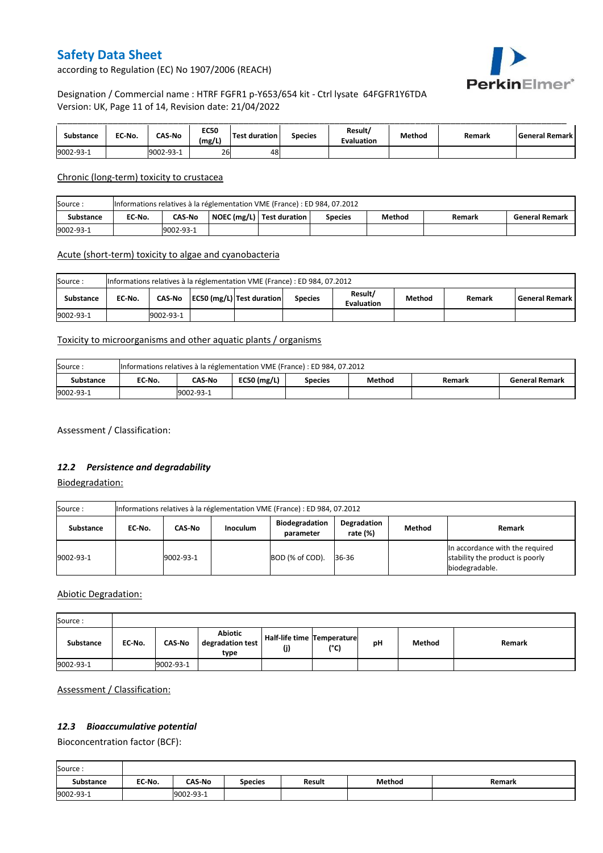

according to Regulation (EC) No 1907/2006 (REACH)

### Designation / Commercial name : HTRF FGFR1 p-Y653/654 kit - Ctrl lysate 64FGFR1Y6TDA Version: UK, Page 11 of 14, Revision date: 21/04/2022

| Substance | EC-No. | <b>CAS-No</b> | <b>EC50</b><br>(mg/L) | <b>Test duration</b> | <b>Species</b> | Result/<br><b>Evaluation</b> | Method | Remark | l General Remark l |
|-----------|--------|---------------|-----------------------|----------------------|----------------|------------------------------|--------|--------|--------------------|
| 9002-93-1 |        | 9002-93-1     | 26                    | 48                   |                |                              |        |        |                    |

### Chronic (long-term) toxicity to crustacea

| Source:   | Informations relatives à la réglementation VME (France) : ED 984, 07.2012 |                                                                                                             |  |  |  |  |  |  |  |  |  |  |
|-----------|---------------------------------------------------------------------------|-------------------------------------------------------------------------------------------------------------|--|--|--|--|--|--|--|--|--|--|
| Substance | EC-No.                                                                    | NOEC (mg/L)   Test duration<br>Method<br><b>CAS-No</b><br><b>General Remark</b><br><b>Species</b><br>Remark |  |  |  |  |  |  |  |  |  |  |
| 9002-93-1 |                                                                           | 9002-93-1                                                                                                   |  |  |  |  |  |  |  |  |  |  |

### Acute (short-term) toxicity to algae and cyanobacteria

| Source:   | Informations relatives à la réglementation VME (France) : ED 984, 07.2012 |           |  |                           |                |                              |        |        |                    |  |  |  |
|-----------|---------------------------------------------------------------------------|-----------|--|---------------------------|----------------|------------------------------|--------|--------|--------------------|--|--|--|
| Substance | EC No.                                                                    | CAS-No    |  | EC50 (mg/L) Test duration | <b>Species</b> | Result/<br><b>Evaluation</b> | Method | Remark | l General Remark l |  |  |  |
| 9002-93-1 |                                                                           | 9002-93-1 |  |                           |                |                              |        |        |                    |  |  |  |

### Toxicity to microorganisms and other aquatic plants / organisms

| Source:   | Informations relatives à la réglementation VME (France) : ED 984, 07.2012 |           |               |                |        |        |                       |  |  |
|-----------|---------------------------------------------------------------------------|-----------|---------------|----------------|--------|--------|-----------------------|--|--|
| Substance | EC-No.                                                                    | CAS-No    | $EC50$ (mg/L) | <b>Species</b> | Method | Remark | <b>General Remark</b> |  |  |
| 9002-93-1 |                                                                           | 9002-93-1 |               |                |        |        |                       |  |  |

Assessment / Classification:

### *12.2 Persistence and degradability*

Biodegradation:

| Source:   | Informations relatives à la réglementation VME (France) : ED 984, 07.2012 |           |                 |                                    |                            |        |                                                                                      |  |  |
|-----------|---------------------------------------------------------------------------|-----------|-----------------|------------------------------------|----------------------------|--------|--------------------------------------------------------------------------------------|--|--|
| Substance | EC No.                                                                    | CAS-No    | <b>Inoculum</b> | <b>Biodegradation</b><br>parameter | Degradation<br>rate $(\%)$ | Method | Remark                                                                               |  |  |
| 9002-93-1 |                                                                           | 9002-93-1 |                 | BOD (% of COD).                    | 36-36                      |        | In accordance with the required<br>stability the product is poorly<br>biodegradable. |  |  |

### Abiotic Degradation:

| Source:   |        |               |                                            |                                   |      |    |        |        |
|-----------|--------|---------------|--------------------------------------------|-----------------------------------|------|----|--------|--------|
| Substance | EC-No. | <b>CAS-No</b> | <b>Abiotic</b><br>degradation test<br>type | Half-life time Temperature<br>(j) | (°C) | рH | Method | Remark |
| 9002-93-1 |        | 9002-93-1     |                                            |                                   |      |    |        |        |

Assessment / Classification:

## *12.3 Bioaccumulative potential*

Bioconcentration factor (BCF):

Ē

| Source:          |        |               |                |               |        |        |
|------------------|--------|---------------|----------------|---------------|--------|--------|
| <b>Substance</b> | EC No. | <b>CAS-No</b> | <b>Species</b> | <b>Result</b> | Method | Remark |
| 9002-93-1        |        | 9002-93-1     |                |               |        |        |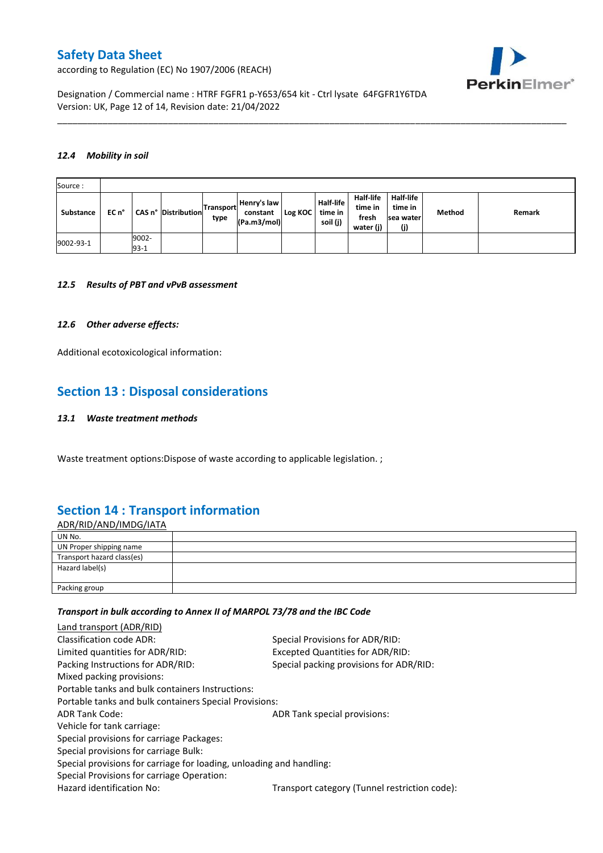PerkinElmer®

according to Regulation (EC) No 1907/2006 (REACH)

Designation / Commercial name : HTRF FGFR1 p-Y653/654 kit - Ctrl lysate 64FGFR1Y6TDA Version: UK, Page 12 of 14, Revision date: 21/04/2022

#### *12.4 Mobility in soil*

| Source:   |       |                 |                     |                          |                                        |         |                                         |                                            |                                                 |        |        |
|-----------|-------|-----------------|---------------------|--------------------------|----------------------------------------|---------|-----------------------------------------|--------------------------------------------|-------------------------------------------------|--------|--------|
| Substance | EC n° |                 | CAS n° Distribution | <b>Transport</b><br>type | Henry's law<br>constant<br>(Pa.m3/mol) | Log KOC | <b>Half-life</b><br>time in<br>soil (j) | Half-life<br>time in<br>fresh<br>water (j) | <b>Half-life</b><br>time in<br>sea water<br>(j) | Method | Remark |
| 9002-93-1 |       | 9002-<br>$93-1$ |                     |                          |                                        |         |                                         |                                            |                                                 |        |        |

\_\_\_\_\_\_\_\_\_\_\_\_\_\_\_\_\_\_\_\_\_\_\_\_\_\_\_\_\_\_\_\_\_\_\_\_\_\_\_\_\_\_\_\_\_\_\_\_\_\_\_\_\_\_\_\_\_\_\_\_\_\_\_\_\_\_\_\_\_\_\_\_\_\_\_\_\_\_\_\_\_\_\_\_\_\_\_\_\_\_\_\_\_\_\_\_\_\_\_\_\_

#### *12.5 Results of PBT and vPvB assessment*

#### *12.6 Other adverse effects:*

Additional ecotoxicological information:

## **Section 13 : Disposal considerations**

#### *13.1 Waste treatment methods*

Waste treatment options:Dispose of waste according to applicable legislation. ;

## **Section 14 : Transport information**

| <u>ADR/RID/AND/IMDG/IATA</u> |  |
|------------------------------|--|
| UN No.                       |  |
| UN Proper shipping name      |  |
| Transport hazard class(es)   |  |
| Hazard label(s)              |  |
|                              |  |
| Packing group                |  |

#### *Transport in bulk according to Annex II of MARPOL 73/78 and the IBC Code*

| Land transport (ADR/RID)                                             |                                               |
|----------------------------------------------------------------------|-----------------------------------------------|
| Classification code ADR:                                             | Special Provisions for ADR/RID:               |
| Limited quantities for ADR/RID:                                      | Excepted Quantities for ADR/RID:              |
| Packing Instructions for ADR/RID:                                    | Special packing provisions for ADR/RID:       |
| Mixed packing provisions:                                            |                                               |
| Portable tanks and bulk containers Instructions:                     |                                               |
| Portable tanks and bulk containers Special Provisions:               |                                               |
| <b>ADR Tank Code:</b>                                                | ADR Tank special provisions:                  |
| Vehicle for tank carriage:                                           |                                               |
| Special provisions for carriage Packages:                            |                                               |
| Special provisions for carriage Bulk:                                |                                               |
| Special provisions for carriage for loading, unloading and handling: |                                               |
| Special Provisions for carriage Operation:                           |                                               |
| Hazard identification No:                                            | Transport category (Tunnel restriction code): |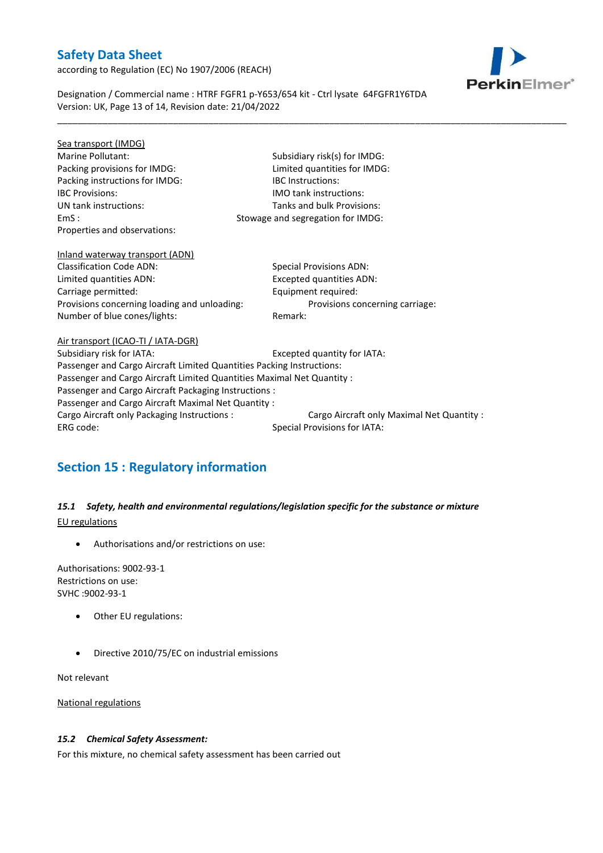according to Regulation (EC) No 1907/2006 (REACH)



Designation / Commercial name : HTRF FGFR1 p-Y653/654 kit - Ctrl lysate 64FGFR1Y6TDA Version: UK, Page 13 of 14, Revision date: 21/04/2022

\_\_\_\_\_\_\_\_\_\_\_\_\_\_\_\_\_\_\_\_\_\_\_\_\_\_\_\_\_\_\_\_\_\_\_\_\_\_\_\_\_\_\_\_\_\_\_\_\_\_\_\_\_\_\_\_\_\_\_\_\_\_\_\_\_\_\_\_\_\_\_\_\_\_\_\_\_\_\_\_\_\_\_\_\_\_\_\_\_\_\_\_\_\_\_\_\_\_\_\_\_

| Sea transport (IMDG)                                                   |                                           |
|------------------------------------------------------------------------|-------------------------------------------|
| Marine Pollutant:                                                      | Subsidiary risk(s) for IMDG:              |
| Packing provisions for IMDG:                                           | Limited quantities for IMDG:              |
| Packing instructions for IMDG:                                         | <b>IBC</b> Instructions:                  |
| <b>IBC Provisions:</b>                                                 | <b>IMO tank instructions:</b>             |
| UN tank instructions:                                                  | Tanks and bulk Provisions:                |
| EmS:                                                                   | Stowage and segregation for IMDG:         |
| Properties and observations:                                           |                                           |
|                                                                        |                                           |
| Inland waterway transport (ADN)                                        |                                           |
| <b>Classification Code ADN:</b>                                        | <b>Special Provisions ADN:</b>            |
| Limited quantities ADN:                                                | <b>Excepted quantities ADN:</b>           |
| Carriage permitted:                                                    | Equipment required:                       |
| Provisions concerning loading and unloading:                           | Provisions concerning carriage:           |
| Number of blue cones/lights:                                           | Remark:                                   |
|                                                                        |                                           |
| Air transport (ICAO-TI / IATA-DGR)                                     |                                           |
| Subsidiary risk for IATA:                                              | Excepted quantity for IATA:               |
| Passenger and Cargo Aircraft Limited Quantities Packing Instructions:  |                                           |
| Passenger and Cargo Aircraft Limited Quantities Maximal Net Quantity : |                                           |
| Passenger and Cargo Aircraft Packaging Instructions :                  |                                           |
| Passenger and Cargo Aircraft Maximal Net Quantity :                    |                                           |
| Cargo Aircraft only Packaging Instructions :                           | Cargo Aircraft only Maximal Net Quantity: |
| ERG code:                                                              | Special Provisions for IATA:              |
|                                                                        |                                           |

# **Section 15 : Regulatory information**

*15.1 Safety, health and environmental regulations/legislation specific for the substance or mixture* EU regulations

Authorisations and/or restrictions on use:

Authorisations: 9002-93-1 Restrictions on use: SVHC :9002-93-1

- Other EU regulations:
- Directive 2010/75/EC on industrial emissions

Not relevant

National regulations

### *15.2 Chemical Safety Assessment:*

For this mixture, no chemical safety assessment has been carried out